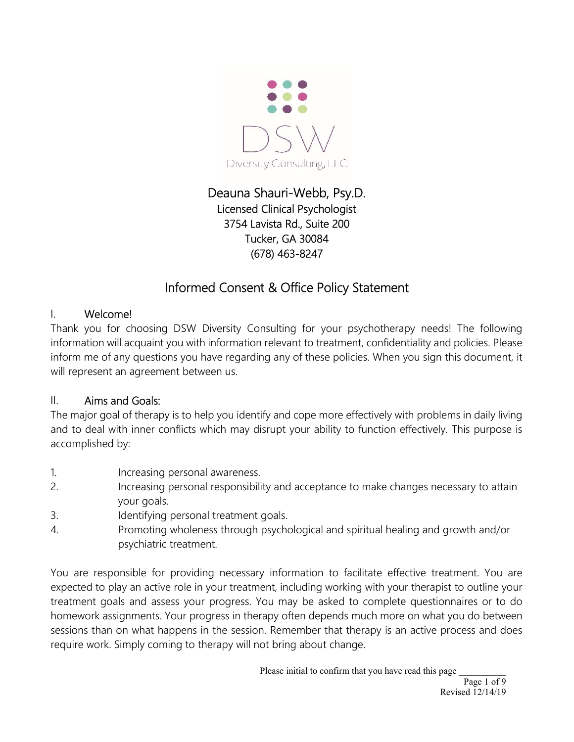

## Deauna Shauri-Webb, Psy.D. Licensed Clinical Psychologist 3754 Lavista Rd., Suite 200 Tucker, GA 30084 (678) 463-8247

# Informed Consent & Office Policy Statement

## I. Welcome!

Thank you for choosing DSW Diversity Consulting for your psychotherapy needs! The following information will acquaint you with information relevant to treatment, confidentiality and policies. Please inform me of any questions you have regarding any of these policies. When you sign this document, it will represent an agreement between us.

#### II. Aims and Goals:

The major goal of therapy is to help you identify and cope more effectively with problems in daily living and to deal with inner conflicts which may disrupt your ability to function effectively. This purpose is accomplished by:

- 1. Increasing personal awareness.
- 2. Increasing personal responsibility and acceptance to make changes necessary to attain your goals.
- 3. Identifying personal treatment goals.
- 4. Promoting wholeness through psychological and spiritual healing and growth and/or psychiatric treatment.

You are responsible for providing necessary information to facilitate effective treatment. You are expected to play an active role in your treatment, including working with your therapist to outline your treatment goals and assess your progress. You may be asked to complete questionnaires or to do homework assignments. Your progress in therapy often depends much more on what you do between sessions than on what happens in the session. Remember that therapy is an active process and does require work. Simply coming to therapy will not bring about change.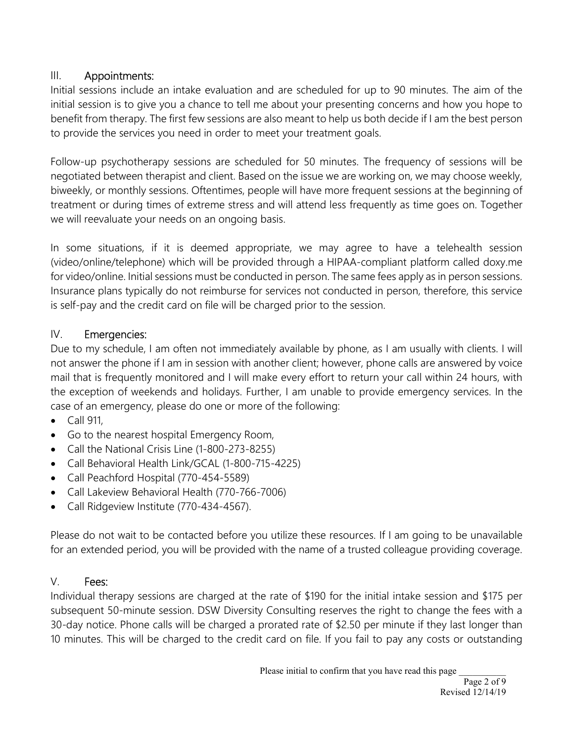## III. Appointments:

Initial sessions include an intake evaluation and are scheduled for up to 90 minutes. The aim of the initial session is to give you a chance to tell me about your presenting concerns and how you hope to benefit from therapy. The first few sessions are also meant to help us both decide if I am the best person to provide the services you need in order to meet your treatment goals.

Follow-up psychotherapy sessions are scheduled for 50 minutes. The frequency of sessions will be negotiated between therapist and client. Based on the issue we are working on, we may choose weekly, biweekly, or monthly sessions. Oftentimes, people will have more frequent sessions at the beginning of treatment or during times of extreme stress and will attend less frequently as time goes on. Together we will reevaluate your needs on an ongoing basis.

In some situations, if it is deemed appropriate, we may agree to have a telehealth session (video/online/telephone) which will be provided through a HIPAA-compliant platform called doxy.me for video/online. Initial sessions must be conducted in person. The same fees apply as in person sessions. Insurance plans typically do not reimburse for services not conducted in person, therefore, this service is self-pay and the credit card on file will be charged prior to the session.

### IV. Emergencies:

Due to my schedule, I am often not immediately available by phone, as I am usually with clients. I will not answer the phone if I am in session with another client; however, phone calls are answered by voice mail that is frequently monitored and I will make every effort to return your call within 24 hours, with the exception of weekends and holidays. Further, I am unable to provide emergency services. In the case of an emergency, please do one or more of the following:

- $\bullet$  Call 911,
- Go to the nearest hospital Emergency Room,
- Call the National Crisis Line (1-800-273-8255)
- Call Behavioral Health Link/GCAL (1-800-715-4225)
- Call Peachford Hospital (770-454-5589)
- Call Lakeview Behavioral Health (770-766-7006)
- Call Ridgeview Institute (770-434-4567).

Please do not wait to be contacted before you utilize these resources. If I am going to be unavailable for an extended period, you will be provided with the name of a trusted colleague providing coverage.

#### V. Fees:

Individual therapy sessions are charged at the rate of \$190 for the initial intake session and \$175 per subsequent 50-minute session. DSW Diversity Consulting reserves the right to change the fees with a 30-day notice. Phone calls will be charged a prorated rate of \$2.50 per minute if they last longer than 10 minutes. This will be charged to the credit card on file. If you fail to pay any costs or outstanding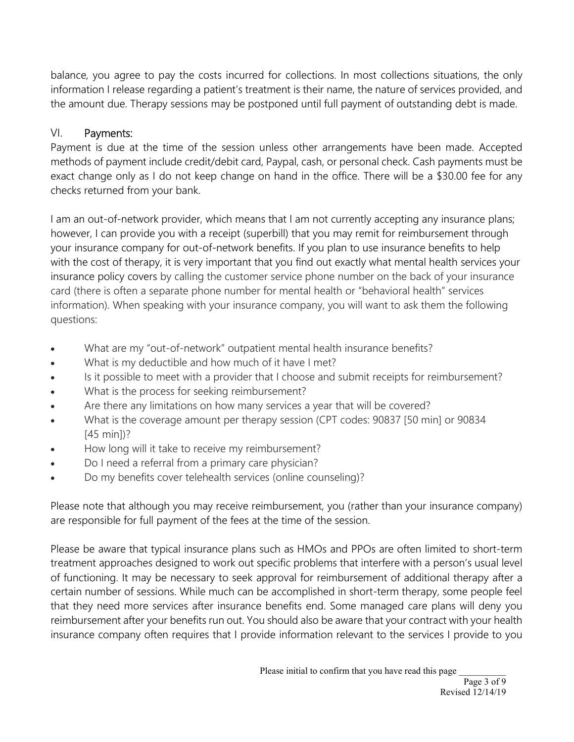balance, you agree to pay the costs incurred for collections. In most collections situations, the only information I release regarding a patient's treatment is their name, the nature of services provided, and the amount due. Therapy sessions may be postponed until full payment of outstanding debt is made.

### VI. Payments:

Payment is due at the time of the session unless other arrangements have been made. Accepted methods of payment include credit/debit card, Paypal, cash, or personal check. Cash payments must be exact change only as I do not keep change on hand in the office. There will be a \$30.00 fee for any checks returned from your bank.

I am an out-of-network provider, which means that I am not currently accepting any insurance plans; however, I can provide you with a receipt (superbill) that you may remit for reimbursement through your insurance company for out-of-network benefits. If you plan to use insurance benefits to help with the cost of therapy, it is very important that you find out exactly what mental health services your insurance policy covers by calling the customer service phone number on the back of your insurance card (there is often a separate phone number for mental health or "behavioral health" services information). When speaking with your insurance company, you will want to ask them the following questions:

- What are my "out-of-network" outpatient mental health insurance benefits?
- What is my deductible and how much of it have I met?
- Is it possible to meet with a provider that I choose and submit receipts for reimbursement?
- What is the process for seeking reimbursement?
- Are there any limitations on how many services a year that will be covered?
- What is the coverage amount per therapy session (CPT codes: 90837 [50 min] or 90834 [45 min])?
- How long will it take to receive my reimbursement?
- Do I need a referral from a primary care physician?
- Do my benefits cover telehealth services (online counseling)?

Please note that although you may receive reimbursement, you (rather than your insurance company) are responsible for full payment of the fees at the time of the session.

Please be aware that typical insurance plans such as HMOs and PPOs are often limited to short-term treatment approaches designed to work out specific problems that interfere with a person's usual level of functioning. It may be necessary to seek approval for reimbursement of additional therapy after a certain number of sessions. While much can be accomplished in short-term therapy, some people feel that they need more services after insurance benefits end. Some managed care plans will deny you reimbursement after your benefits run out. You should also be aware that your contract with your health insurance company often requires that I provide information relevant to the services I provide to you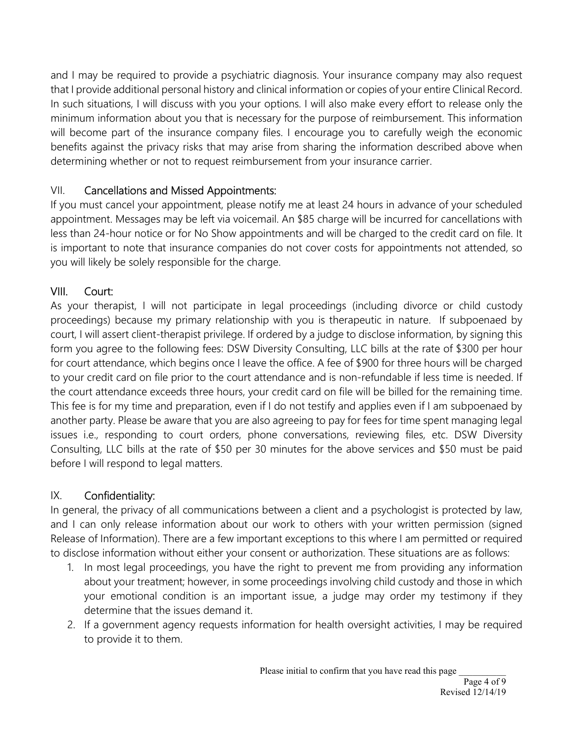and I may be required to provide a psychiatric diagnosis. Your insurance company may also request that I provide additional personal history and clinical information or copies of your entire Clinical Record. In such situations, I will discuss with you your options. I will also make every effort to release only the minimum information about you that is necessary for the purpose of reimbursement. This information will become part of the insurance company files. I encourage you to carefully weigh the economic benefits against the privacy risks that may arise from sharing the information described above when determining whether or not to request reimbursement from your insurance carrier.

## VII. Cancellations and Missed Appointments:

If you must cancel your appointment, please notify me at least 24 hours in advance of your scheduled appointment. Messages may be left via voicemail. An \$85 charge will be incurred for cancellations with less than 24-hour notice or for No Show appointments and will be charged to the credit card on file. It is important to note that insurance companies do not cover costs for appointments not attended, so you will likely be solely responsible for the charge.

## VIII. Court:

As your therapist, I will not participate in legal proceedings (including divorce or child custody proceedings) because my primary relationship with you is therapeutic in nature. If subpoenaed by court, I will assert client-therapist privilege. If ordered by a judge to disclose information, by signing this form you agree to the following fees: DSW Diversity Consulting, LLC bills at the rate of \$300 per hour for court attendance, which begins once I leave the office. A fee of \$900 for three hours will be charged to your credit card on file prior to the court attendance and is non-refundable if less time is needed. If the court attendance exceeds three hours, your credit card on file will be billed for the remaining time. This fee is for my time and preparation, even if I do not testify and applies even if I am subpoenaed by another party. Please be aware that you are also agreeing to pay for fees for time spent managing legal issues i.e., responding to court orders, phone conversations, reviewing files, etc. DSW Diversity Consulting, LLC bills at the rate of \$50 per 30 minutes for the above services and \$50 must be paid before I will respond to legal matters.

## IX. Confidentiality:

In general, the privacy of all communications between a client and a psychologist is protected by law, and I can only release information about our work to others with your written permission (signed Release of Information). There are a few important exceptions to this where I am permitted or required to disclose information without either your consent or authorization. These situations are as follows:

- 1. In most legal proceedings, you have the right to prevent me from providing any information about your treatment; however, in some proceedings involving child custody and those in which your emotional condition is an important issue, a judge may order my testimony if they determine that the issues demand it.
- 2. If a government agency requests information for health oversight activities, I may be required to provide it to them.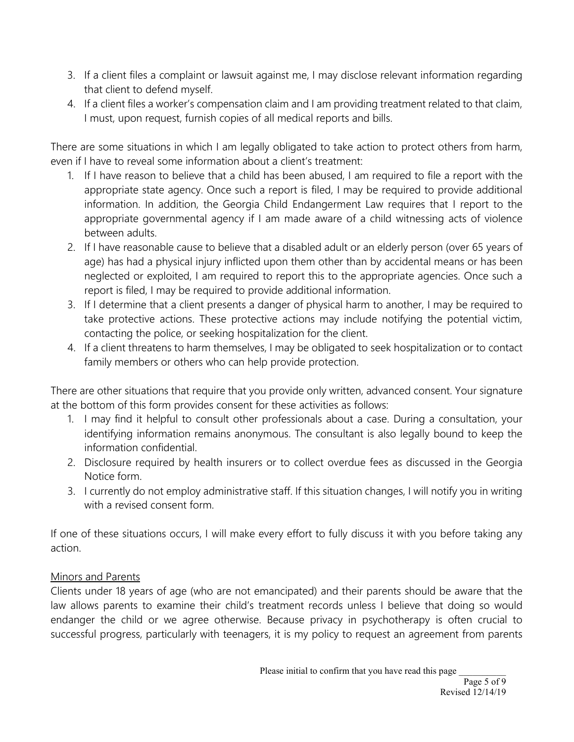- 3. If a client files a complaint or lawsuit against me, I may disclose relevant information regarding that client to defend myself.
- 4. If a client files a worker's compensation claim and I am providing treatment related to that claim, I must, upon request, furnish copies of all medical reports and bills.

There are some situations in which I am legally obligated to take action to protect others from harm, even if I have to reveal some information about a client's treatment:

- 1. If I have reason to believe that a child has been abused, I am required to file a report with the appropriate state agency. Once such a report is filed, I may be required to provide additional information. In addition, the Georgia Child Endangerment Law requires that I report to the appropriate governmental agency if I am made aware of a child witnessing acts of violence between adults.
- 2. If I have reasonable cause to believe that a disabled adult or an elderly person (over 65 years of age) has had a physical injury inflicted upon them other than by accidental means or has been neglected or exploited, I am required to report this to the appropriate agencies. Once such a report is filed, I may be required to provide additional information.
- 3. If I determine that a client presents a danger of physical harm to another, I may be required to take protective actions. These protective actions may include notifying the potential victim, contacting the police, or seeking hospitalization for the client.
- 4. If a client threatens to harm themselves, I may be obligated to seek hospitalization or to contact family members or others who can help provide protection.

There are other situations that require that you provide only written, advanced consent. Your signature at the bottom of this form provides consent for these activities as follows:

- 1. I may find it helpful to consult other professionals about a case. During a consultation, your identifying information remains anonymous. The consultant is also legally bound to keep the information confidential.
- 2. Disclosure required by health insurers or to collect overdue fees as discussed in the Georgia Notice form.
- 3. I currently do not employ administrative staff. If this situation changes, I will notify you in writing with a revised consent form.

If one of these situations occurs, I will make every effort to fully discuss it with you before taking any action.

#### Minors and Parents

Clients under 18 years of age (who are not emancipated) and their parents should be aware that the law allows parents to examine their child's treatment records unless I believe that doing so would endanger the child or we agree otherwise. Because privacy in psychotherapy is often crucial to successful progress, particularly with teenagers, it is my policy to request an agreement from parents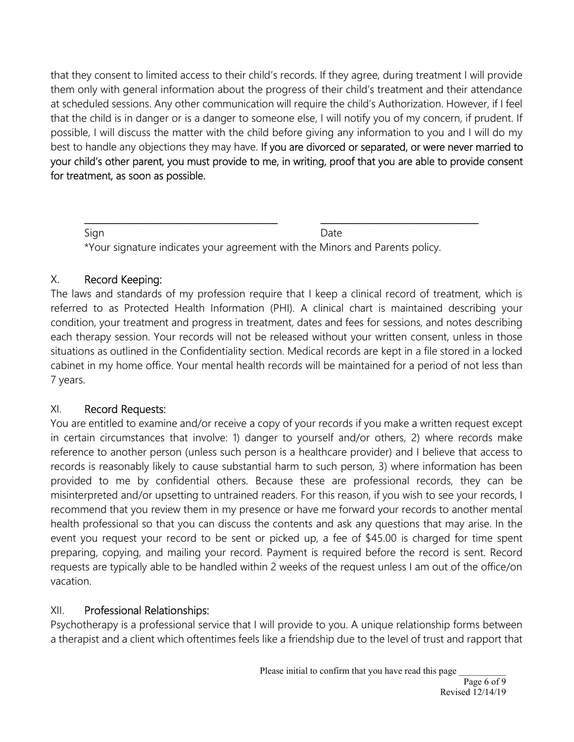that they consent to limited access to their child's records. If they agree, during treatment I will provide them only with general information about the progress of their child's treatment and their attendance at scheduled sessions. Any other communication will require the child's Authorization. However, if I feel that the child is in danger or is a danger to someone else, I will notify you of my concern, if prudent. If possible, I will discuss the matter with the child before giving any information to you and I will do my best to handle any objections they may have. If you are divorced or separated, or were never married to your child's other parent, you must provide to me, in writing, proof that you are able to provide consent for treatment, as soon as possible.

Sign **Date** \*Your signature indicates your agreement with the Minors and Parents policy.

\_\_\_\_\_\_\_\_\_\_\_\_\_\_\_\_\_\_\_\_\_\_\_\_\_\_\_\_\_\_\_\_\_\_\_\_\_\_\_\_\_\_\_\_ \_\_\_\_\_\_\_\_\_\_\_\_\_\_\_\_\_\_\_\_\_\_\_\_\_\_\_\_\_\_\_\_\_\_\_\_

## X. Record Keeping:

The laws and standards of my profession require that I keep a clinical record of treatment, which is referred to as Protected Health Information (PHI). A clinical chart is maintained describing your condition, your treatment and progress in treatment, dates and fees for sessions, and notes describing each therapy session. Your records will not be released without your written consent, unless in those situations as outlined in the Confidentiality section. Medical records are kept in a file stored in a locked cabinet in my home office. Your mental health records will be maintained for a period of not less than 7 years.

#### XI. Record Requests:

You are entitled to examine and/or receive a copy of your records if you make a written request except in certain circumstances that involve: 1) danger to yourself and/or others, 2) where records make reference to another person (unless such person is a healthcare provider) and I believe that access to records is reasonably likely to cause substantial harm to such person, 3) where information has been provided to me by confidential others. Because these are professional records, they can be misinterpreted and/or upsetting to untrained readers. For this reason, if you wish to see your records, I recommend that you review them in my presence or have me forward your records to another mental health professional so that you can discuss the contents and ask any questions that may arise. In the event you request your record to be sent or picked up, a fee of \$45.00 is charged for time spent preparing, copying, and mailing your record. Payment is required before the record is sent. Record requests are typically able to be handled within 2 weeks of the request unless I am out of the office/on vacation.

#### XII. Professional Relationships:

Psychotherapy is a professional service that I will provide to you. A unique relationship forms between a therapist and a client which oftentimes feels like a friendship due to the level of trust and rapport that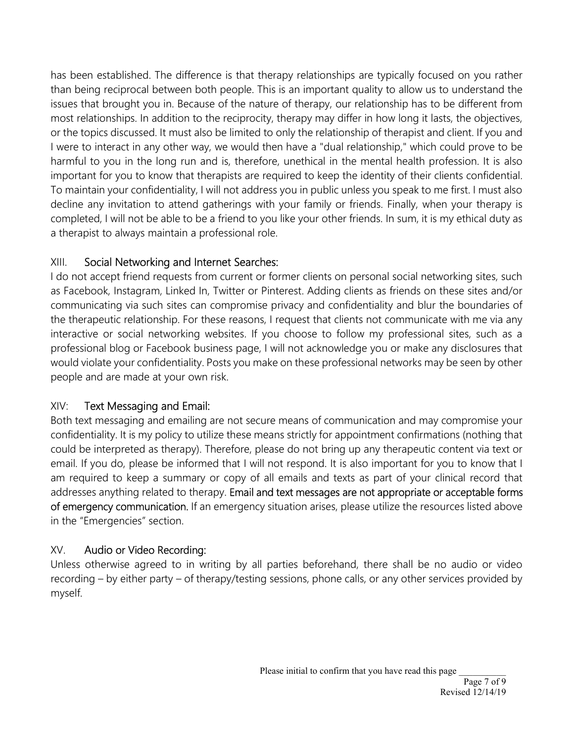has been established. The difference is that therapy relationships are typically focused on you rather than being reciprocal between both people. This is an important quality to allow us to understand the issues that brought you in. Because of the nature of therapy, our relationship has to be different from most relationships. In addition to the reciprocity, therapy may differ in how long it lasts, the objectives, or the topics discussed. It must also be limited to only the relationship of therapist and client. If you and I were to interact in any other way, we would then have a "dual relationship," which could prove to be harmful to you in the long run and is, therefore, unethical in the mental health profession. It is also important for you to know that therapists are required to keep the identity of their clients confidential. To maintain your confidentiality, I will not address you in public unless you speak to me first. I must also decline any invitation to attend gatherings with your family or friends. Finally, when your therapy is completed, I will not be able to be a friend to you like your other friends. In sum, it is my ethical duty as a therapist to always maintain a professional role.

### XIII. Social Networking and Internet Searches:

I do not accept friend requests from current or former clients on personal social networking sites, such as Facebook, Instagram, Linked In, Twitter or Pinterest. Adding clients as friends on these sites and/or communicating via such sites can compromise privacy and confidentiality and blur the boundaries of the therapeutic relationship. For these reasons, I request that clients not communicate with me via any interactive or social networking websites. If you choose to follow my professional sites, such as a professional blog or Facebook business page, I will not acknowledge you or make any disclosures that would violate your confidentiality. Posts you make on these professional networks may be seen by other people and are made at your own risk.

## XIV: Text Messaging and Email:

Both text messaging and emailing are not secure means of communication and may compromise your confidentiality. It is my policy to utilize these means strictly for appointment confirmations (nothing that could be interpreted as therapy). Therefore, please do not bring up any therapeutic content via text or email. If you do, please be informed that I will not respond. It is also important for you to know that I am required to keep a summary or copy of all emails and texts as part of your clinical record that addresses anything related to therapy. Email and text messages are not appropriate or acceptable forms of emergency communication. If an emergency situation arises, please utilize the resources listed above in the "Emergencies" section.

## XV. Audio or Video Recording:

Unless otherwise agreed to in writing by all parties beforehand, there shall be no audio or video recording – by either party – of therapy/testing sessions, phone calls, or any other services provided by myself.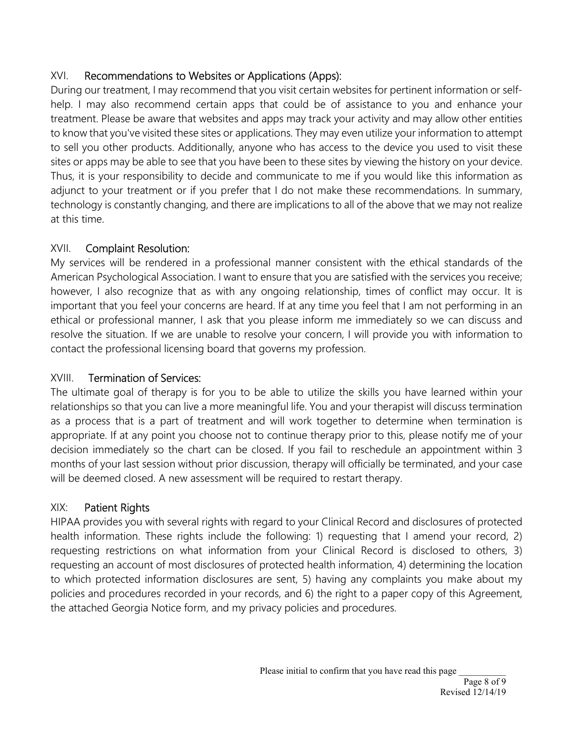## XVI. Recommendations to Websites or Applications (Apps):

During our treatment, I may recommend that you visit certain websites for pertinent information or selfhelp. I may also recommend certain apps that could be of assistance to you and enhance your treatment. Please be aware that websites and apps may track your activity and may allow other entities to know that you've visited these sites or applications. They may even utilize your information to attempt to sell you other products. Additionally, anyone who has access to the device you used to visit these sites or apps may be able to see that you have been to these sites by viewing the history on your device. Thus, it is your responsibility to decide and communicate to me if you would like this information as adjunct to your treatment or if you prefer that I do not make these recommendations. In summary, technology is constantly changing, and there are implications to all of the above that we may not realize at this time.

## XVII. Complaint Resolution:

My services will be rendered in a professional manner consistent with the ethical standards of the American Psychological Association. I want to ensure that you are satisfied with the services you receive; however, I also recognize that as with any ongoing relationship, times of conflict may occur. It is important that you feel your concerns are heard. If at any time you feel that I am not performing in an ethical or professional manner, I ask that you please inform me immediately so we can discuss and resolve the situation. If we are unable to resolve your concern, I will provide you with information to contact the professional licensing board that governs my profession.

## XVIII. Termination of Services:

The ultimate goal of therapy is for you to be able to utilize the skills you have learned within your relationships so that you can live a more meaningful life. You and your therapist will discuss termination as a process that is a part of treatment and will work together to determine when termination is appropriate. If at any point you choose not to continue therapy prior to this, please notify me of your decision immediately so the chart can be closed. If you fail to reschedule an appointment within 3 months of your last session without prior discussion, therapy will officially be terminated, and your case will be deemed closed. A new assessment will be required to restart therapy.

## XIX: Patient Rights

HIPAA provides you with several rights with regard to your Clinical Record and disclosures of protected health information. These rights include the following: 1) requesting that I amend your record, 2) requesting restrictions on what information from your Clinical Record is disclosed to others, 3) requesting an account of most disclosures of protected health information, 4) determining the location to which protected information disclosures are sent, 5) having any complaints you make about my policies and procedures recorded in your records, and 6) the right to a paper copy of this Agreement, the attached Georgia Notice form, and my privacy policies and procedures.